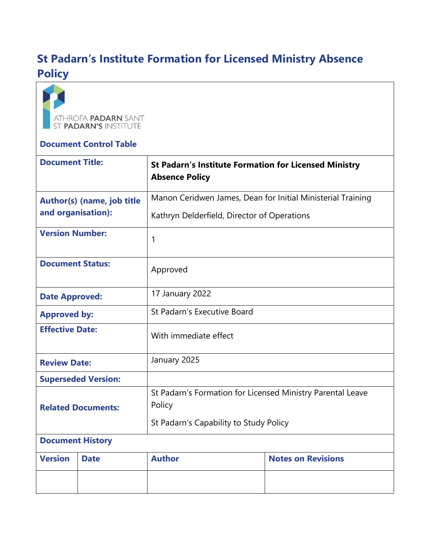# **St Padarn's Institute Formation for Licensed Ministry Absence Policy**



#### **Document Control Table**

| <b>Document Title:</b>                           |             | <b>St Padarn's Institute Formation for Licensed Ministry</b><br><b>Absence Policy</b> |                           |
|--------------------------------------------------|-------------|---------------------------------------------------------------------------------------|---------------------------|
| Author(s) (name, job title<br>and organisation): |             | Manon Ceridwen James, Dean for Initial Ministerial Training                           |                           |
|                                                  |             | Kathryn Delderfield, Director of Operations                                           |                           |
| <b>Version Number:</b>                           |             | 1                                                                                     |                           |
| <b>Document Status:</b>                          |             | Approved                                                                              |                           |
| <b>Date Approved:</b>                            |             | 17 January 2022                                                                       |                           |
| <b>Approved by:</b>                              |             | St Padarn's Executive Board                                                           |                           |
| <b>Effective Date:</b>                           |             | With immediate effect                                                                 |                           |
| <b>Review Date:</b>                              |             | January 2025                                                                          |                           |
| <b>Superseded Version:</b>                       |             |                                                                                       |                           |
| <b>Related Documents:</b>                        |             | St Padarn's Formation for Licensed Ministry Parental Leave<br>Policy                  |                           |
|                                                  |             | St Padarn's Capability to Study Policy                                                |                           |
| <b>Document History</b>                          |             |                                                                                       |                           |
| <b>Version</b>                                   | <b>Date</b> | <b>Author</b>                                                                         | <b>Notes on Revisions</b> |
|                                                  |             |                                                                                       |                           |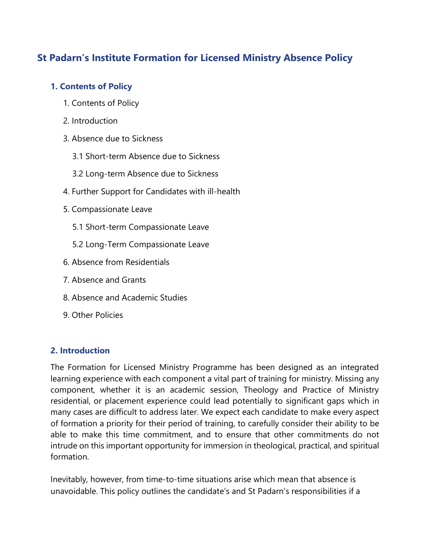## **St Padarn's Institute Formation for Licensed Ministry Absence Policy**

## **1. Contents of Policy**

- 1. Contents of Policy
- 2. Introduction
- 3. Absence due to Sickness
	- 3.1 Short-term Absence due to Sickness
	- 3.2 Long-term Absence due to Sickness
- 4. Further Support for Candidates with ill-health
- 5. Compassionate Leave
	- 5.1 Short-term Compassionate Leave
	- 5.2 Long-Term Compassionate Leave
- 6. Absence from Residentials
- 7. Absence and Grants
- 8. Absence and Academic Studies
- 9. Other Policies

## **2. Introduction**

The Formation for Licensed Ministry Programme has been designed as an integrated learning experience with each component a vital part of training for ministry. Missing any component, whether it is an academic session, Theology and Practice of Ministry residential, or placement experience could lead potentially to significant gaps which in many cases are difficult to address later. We expect each candidate to make every aspect of formation a priority for their period of training, to carefully consider their ability to be able to make this time commitment, and to ensure that other commitments do not intrude on this important opportunity for immersion in theological, practical, and spiritual formation.

Inevitably, however, from time-to-time situations arise which mean that absence is unavoidable. This policy outlines the candidate's and St Padarn's responsibilities if a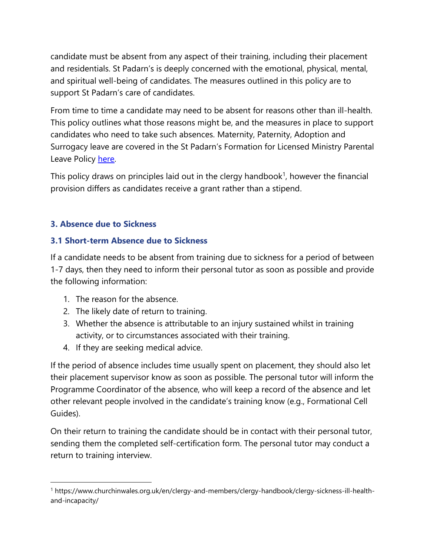candidate must be absent from any aspect of their training, including their placement and residentials. St Padarn's is deeply concerned with the emotional, physical, mental, and spiritual well-being of candidates. The measures outlined in this policy are to support St Padarn's care of candidates.

From time to time a candidate may need to be absent for reasons other than ill-health. This policy outlines what those reasons might be, and the measures in place to support candidates who need to take such absences. Maternity, Paternity, Adoption and Surrogacy leave are covered in the St Padarn's Formation for Licensed Ministry Parental Leave Policy [here.](https://www.stpadarns.ac.uk/en/about/policies/)

This policy draws on principles laid out in the clergy handbook<sup>1</sup>, however the financial provision differs as candidates receive a grant rather than a stipend.

## **3. Absence due to Sickness**

#### **3.1 Short-term Absence due to Sickness**

If a candidate needs to be absent from training due to sickness for a period of between 1-7 days, then they need to inform their personal tutor as soon as possible and provide the following information:

- 1. The reason for the absence.
- 2. The likely date of return to training.
- 3. Whether the absence is attributable to an injury sustained whilst in training activity, or to circumstances associated with their training.
- 4. If they are seeking medical advice.

If the period of absence includes time usually spent on placement, they should also let their placement supervisor know as soon as possible. The personal tutor will inform the Programme Coordinator of the absence, who will keep a record of the absence and let other relevant people involved in the candidate's training know (e.g., Formational Cell Guides).

On their return to training the candidate should be in contact with their personal tutor, sending them the completed self-certification form. The personal tutor may conduct a return to training interview.

<sup>1</sup> https://www.churchinwales.org.uk/en/clergy-and-members/clergy-handbook/clergy-sickness-ill-healthand-incapacity/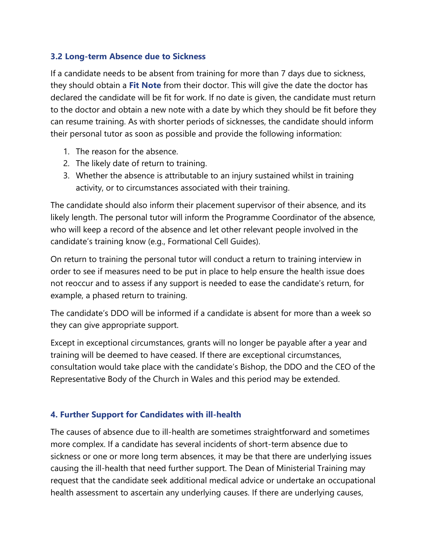#### **3.2 Long-term Absence due to Sickness**

If a candidate needs to be absent from training for more than 7 days due to sickness, they should obtain a **Fit Note** from their doctor. This will give the date the doctor has declared the candidate will be fit for work. If no date is given, the candidate must return to the doctor and obtain a new note with a date by which they should be fit before they can resume training. As with shorter periods of sicknesses, the candidate should inform their personal tutor as soon as possible and provide the following information:

- 1. The reason for the absence.
- 2. The likely date of return to training.
- 3. Whether the absence is attributable to an injury sustained whilst in training activity, or to circumstances associated with their training.

The candidate should also inform their placement supervisor of their absence, and its likely length. The personal tutor will inform the Programme Coordinator of the absence, who will keep a record of the absence and let other relevant people involved in the candidate's training know (e.g., Formational Cell Guides).

On return to training the personal tutor will conduct a return to training interview in order to see if measures need to be put in place to help ensure the health issue does not reoccur and to assess if any support is needed to ease the candidate's return, for example, a phased return to training.

The candidate's DDO will be informed if a candidate is absent for more than a week so they can give appropriate support.

Except in exceptional circumstances, grants will no longer be payable after a year and training will be deemed to have ceased. If there are exceptional circumstances, consultation would take place with the candidate's Bishop, the DDO and the CEO of the Representative Body of the Church in Wales and this period may be extended.

#### **4. Further Support for Candidates with ill-health**

The causes of absence due to ill-health are sometimes straightforward and sometimes more complex. If a candidate has several incidents of short-term absence due to sickness or one or more long term absences, it may be that there are underlying issues causing the ill-health that need further support. The Dean of Ministerial Training may request that the candidate seek additional medical advice or undertake an occupational health assessment to ascertain any underlying causes. If there are underlying causes,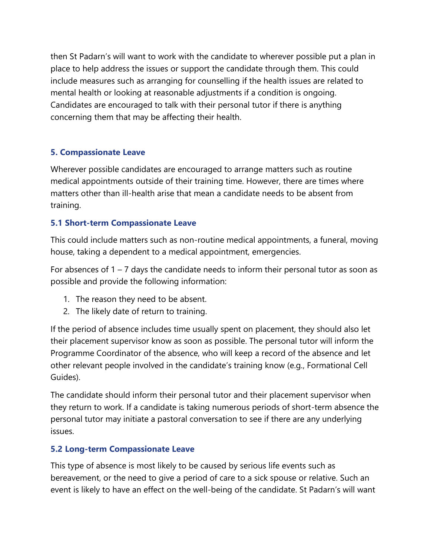then St Padarn's will want to work with the candidate to wherever possible put a plan in place to help address the issues or support the candidate through them. This could include measures such as arranging for counselling if the health issues are related to mental health or looking at reasonable adjustments if a condition is ongoing. Candidates are encouraged to talk with their personal tutor if there is anything concerning them that may be affecting their health.

## **5. Compassionate Leave**

Wherever possible candidates are encouraged to arrange matters such as routine medical appointments outside of their training time. However, there are times where matters other than ill-health arise that mean a candidate needs to be absent from training.

## **5.1 Short-term Compassionate Leave**

This could include matters such as non-routine medical appointments, a funeral, moving house, taking a dependent to a medical appointment, emergencies.

For absences of  $1 - 7$  days the candidate needs to inform their personal tutor as soon as possible and provide the following information:

- 1. The reason they need to be absent.
- 2. The likely date of return to training.

If the period of absence includes time usually spent on placement, they should also let their placement supervisor know as soon as possible. The personal tutor will inform the Programme Coordinator of the absence, who will keep a record of the absence and let other relevant people involved in the candidate's training know (e.g., Formational Cell Guides).

The candidate should inform their personal tutor and their placement supervisor when they return to work. If a candidate is taking numerous periods of short-term absence the personal tutor may initiate a pastoral conversation to see if there are any underlying issues.

## **5.2 Long-term Compassionate Leave**

This type of absence is most likely to be caused by serious life events such as bereavement, or the need to give a period of care to a sick spouse or relative. Such an event is likely to have an effect on the well-being of the candidate. St Padarn's will want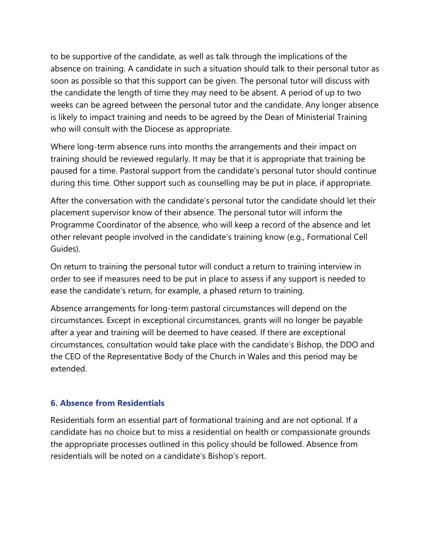to be supportive of the candidate, as well as talk through the implications of the absence on training. A candidate in such a situation should talk to their personal tutor as soon as possible so that this support can be given. The personal tutor will discuss with the candidate the length of time they may need to be absent. A period of up to two weeks can be agreed between the personal tutor and the candidate. Any longer absence is likely to impact training and needs to be agreed by the Dean of Ministerial Training who will consult with the Diocese as appropriate.

Where long-term absence runs into months the arrangements and their impact on training should be reviewed regularly. It may be that it is appropriate that training be paused for a time. Pastoral support from the candidate's personal tutor should continue during this time. Other support such as counselling may be put in place, if appropriate.

After the conversation with the candidate's personal tutor the candidate should let their placement supervisor know of their absence. The personal tutor will inform the Programme Coordinator of the absence, who will keep a record of the absence and let other relevant people involved in the candidate's training know (e.g., Formational Cell Guides).

On return to training the personal tutor will conduct a return to training interview in order to see if measures need to be put in place to assess if any support is needed to ease the candidate's return, for example, a phased return to training.

Absence arrangements for long-term pastoral circumstances will depend on the circumstances. Except in exceptional circumstances, grants will no longer be payable after a year and training will be deemed to have ceased. If there are exceptional circumstances, consultation would take place with the candidate's Bishop, the DDO and the CEO of the Representative Body of the Church in Wales and this period may be extended.

#### **6. Absence from Residentials**

Residentials form an essential part of formational training and are not optional. If a candidate has no choice but to miss a residential on health or compassionate grounds the appropriate processes outlined in this policy should be followed. Absence from residentials will be noted on a candidate's Bishop's report.